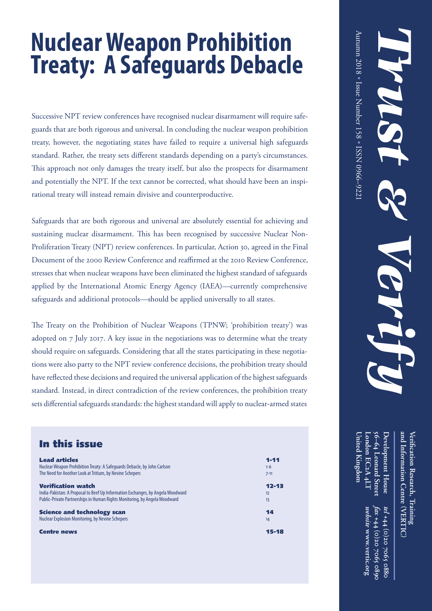# **Nuclear Weapon Prohibition Treaty: A Safeguards Debacle**

Successive NPT review conferences have recognised nuclear disarmament will require safeguards that are both rigorous and universal. In concluding the nuclear weapon prohibition treaty, however, the negotiating states have failed to require a universal high safeguards standard. Rather, the treaty sets different standards depending on a party's circumstances. This approach not only damages the treaty itself, but also the prospects for disarmament and potentially the NPT. If the text cannot be corrected, what should have been an inspirational treaty will instead remain divisive and counterproductive.

Safeguards that are both rigorous and universal are absolutely essential for achieving and sustaining nuclear disarmament. This has been recognised by successive Nuclear Non-Proliferation Treaty (NPT) review conferences. In particular, Action 30, agreed in the Final Document of the 2000 Review Conference and reaffirmed at the 2010 Review Conference, stresses that when nuclear weapons have been eliminated the highest standard of safeguards applied by the International Atomic Energy Agency (IAEA)—currently comprehensive safeguards and additional protocols—should be applied universally to all states.

The Treaty on the Prohibition of Nuclear Weapons (TPNW; 'prohibition treaty') was adopted on 7 July 2017. A key issue in the negotiations was to determine what the treaty should require on safeguards. Considering that all the states participating in these negotiations were also party to the NPT review conference decisions, the prohibition treaty should have reflected these decisions and required the universal application of the highest safeguards standard. Instead, in direct contradiction of the review conferences, the prohibition treaty sets differential safeguards standards: the highest standard will apply to nuclear-armed states

#### In this issue

| <b>Lead articles</b>                                                            | $1 - 11$  |
|---------------------------------------------------------------------------------|-----------|
| Nuclear Weapon Prohibition Treaty: A Safeguards Debacle, by John Carlson        | $1 - 6$   |
| The Need for Another Look at Tritium, by Nevine Schepers                        | $7 - 11$  |
| <b>Verification watch</b>                                                       | $12 - 13$ |
| India-Pakistan: A Proposal to Beef Up Information Exchanges, by Angela Woodward | 12        |
| Public-Private Partnerships in Human Rights Monitoring, by Angela Woodward      | 13        |
| <b>Science and technology scan</b>                                              | 14        |
| <b>Nuclear Explosion Monitoring, by Nevine Schepers</b>                         | 14        |
| <b>Centre news</b>                                                              | 15-18     |

**Development House and Information Centre Veri fi56–64** Development House **cation Research, Training Leonard Street** *fax* +44 (0)20 7065 0899 *tel* +44 (0)20 **VERTIC ( ) +44 (0)20 7065 0880 +44 (0)20 7065 0890**

**London EC**

**United Kingdom**

Inited Kingdom

**2A 4LT**

*website* **www.vertic.org**

 $5002$ 

0880

website www.vertic.org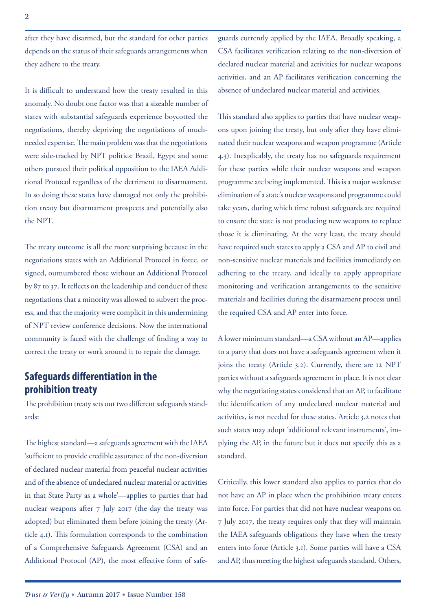after they have disarmed, but the standard for other parties depends on the status of their safeguards arrangements when they adhere to the treaty.

It is difficult to understand how the treaty resulted in this anomaly. No doubt one factor was that a sizeable number of states with substantial safeguards experience boycotted the negotiations, thereby depriving the negotiations of muchneeded expertise. The main problem was that the negotiations were side-tracked by NPT politics: Brazil, Egypt and some others pursued their political opposition to the IAEA Additional Protocol regardless of the detriment to disarmament. In so doing these states have damaged not only the prohibition treaty but disarmament prospects and potentially also the NPT.

The treaty outcome is all the more surprising because in the negotiations states with an Additional Protocol in force, or signed, outnumbered those without an Additional Protocol by 87 to 37. It reflects on the leadership and conduct of these negotiations that a minority was allowed to subvert the process, and that the majority were complicit in this undermining of NPT review conference decisions. Now the international community is faced with the challenge of finding a way to correct the treaty or work around it to repair the damage.

## **Safeguards differentiation in the prohibition treaty**

The prohibition treaty sets out two different safeguards standards:

The highest standard—a safeguards agreement with the IAEA 'sufficient to provide credible assurance of the non-diversion of declared nuclear material from peaceful nuclear activities and of the absence of undeclared nuclear material or activities in that State Party as a whole'—applies to parties that had nuclear weapons after 7 July 2017 (the day the treaty was adopted) but eliminated them before joining the treaty (Article 4.1). This formulation corresponds to the combination of a Comprehensive Safeguards Agreement (CSA) and an Additional Protocol (AP), the most effective form of safeguards currently applied by the IAEA. Broadly speaking, a CSA facilitates verification relating to the non-diversion of declared nuclear material and activities for nuclear weapons activities, and an AP facilitates verification concerning the absence of undeclared nuclear material and activities.

This standard also applies to parties that have nuclear weapons upon joining the treaty, but only after they have eliminated their nuclear weapons and weapon programme (Article 4.3). Inexplicably, the treaty has no safeguards requirement for these parties while their nuclear weapons and weapon programme are being implemented. This is a major weakness: elimination of a state's nuclear weapons and programme could take years, during which time robust safeguards are required to ensure the state is not producing new weapons to replace those it is eliminating. At the very least, the treaty should have required such states to apply a CSA and AP to civil and non-sensitive nuclear materials and facilities immediately on adhering to the treaty, and ideally to apply appropriate monitoring and verification arrangements to the sensitive materials and facilities during the disarmament process until the required CSA and AP enter into force.

A lower minimum standard—a CSA without an AP—applies to a party that does not have a safeguards agreement when it joins the treaty (Article 3.2). Currently, there are 12 NPT parties without a safeguards agreement in place. It is not clear why the negotiating states considered that an AP, to facilitate the identification of any undeclared nuclear material and activities, is not needed for these states. Article 3.2 notes that such states may adopt 'additional relevant instruments', implying the AP, in the future but it does not specify this as a standard.

Critically, this lower standard also applies to parties that do not have an AP in place when the prohibition treaty enters into force. For parties that did not have nuclear weapons on 7 July 2017, the treaty requires only that they will maintain the IAEA safeguards obligations they have when the treaty enters into force (Article 3.1). Some parties will have a CSA and AP, thus meeting the highest safeguards standard. Others,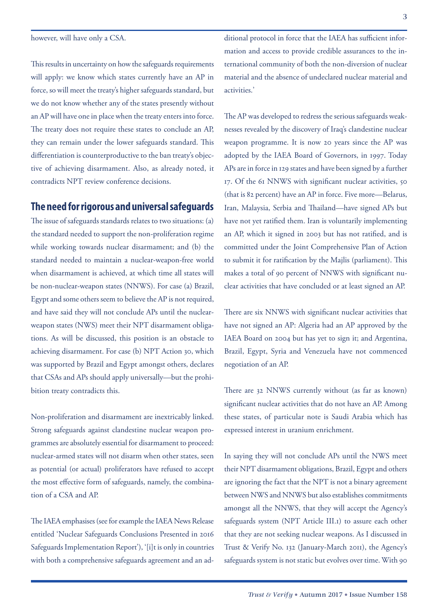however, will have only a CSA.

This results in uncertainty on how the safeguards requirements will apply: we know which states currently have an AP in force, so will meet the treaty's higher safeguards standard, but we do not know whether any of the states presently without an AP will have one in place when the treaty enters into force. The treaty does not require these states to conclude an AP, they can remain under the lower safeguards standard. This differentiation is counterproductive to the ban treaty's objective of achieving disarmament. Also, as already noted, it contradicts NPT review conference decisions.

#### **The need for rigorous and universal safeguards**

The issue of safeguards standards relates to two situations: (a) the standard needed to support the non-proliferation regime while working towards nuclear disarmament; and (b) the standard needed to maintain a nuclear-weapon-free world when disarmament is achieved, at which time all states will be non-nuclear-weapon states (NNWS). For case (a) Brazil, Egypt and some others seem to believe the AP is not required, and have said they will not conclude APs until the nuclearweapon states (NWS) meet their NPT disarmament obligations. As will be discussed, this position is an obstacle to achieving disarmament. For case (b) NPT Action 30, which was supported by Brazil and Egypt amongst others, declares that CSAs and APs should apply universally—but the prohibition treaty contradicts this.

Non-proliferation and disarmament are inextricably linked. Strong safeguards against clandestine nuclear weapon programmes are absolutely essential for disarmament to proceed: nuclear-armed states will not disarm when other states, seen as potential (or actual) proliferators have refused to accept the most effective form of safeguards, namely, the combination of a CSA and AP.

The IAEA emphasises (see for example the IAEA News Release entitled 'Nuclear Safeguards Conclusions Presented in 2016 Safeguards Implementation Report'), '[i]t is only in countries with both a comprehensive safeguards agreement and an additional protocol in force that the IAEA has sufficient information and access to provide credible assurances to the international community of both the non-diversion of nuclear material and the absence of undeclared nuclear material and activities.'

The AP was developed to redress the serious safeguards weaknesses revealed by the discovery of Iraq's clandestine nuclear weapon programme. It is now 20 years since the AP was adopted by the IAEA Board of Governors, in 1997. Today APs are in force in 129 states and have been signed by a further 17. Of the 61 NNWS with significant nuclear activities, 50 (that is 82 percent) have an AP in force. Five more—Belarus, Iran, Malaysia, Serbia and Thailand—have signed APs but have not yet ratified them. Iran is voluntarily implementing an AP, which it signed in 2003 but has not ratified, and is committed under the Joint Comprehensive Plan of Action to submit it for ratification by the Majlis (parliament). This makes a total of 90 percent of NNWS with significant nuclear activities that have concluded or at least signed an AP.

There are six NNWS with significant nuclear activities that have not signed an AP: Algeria had an AP approved by the IAEA Board on 2004 but has yet to sign it; and Argentina, Brazil, Egypt, Syria and Venezuela have not commenced negotiation of an AP.

There are 32 NNWS currently without (as far as known) significant nuclear activities that do not have an AP. Among these states, of particular note is Saudi Arabia which has expressed interest in uranium enrichment.

In saying they will not conclude APs until the NWS meet their NPT disarmament obligations, Brazil, Egypt and others are ignoring the fact that the NPT is not a binary agreement between NWS and NNWS but also establishes commitments amongst all the NNWS, that they will accept the Agency's safeguards system (NPT Article III.1) to assure each other that they are not seeking nuclear weapons. As I discussed in Trust & Verify No. 132 (January-March 2011), the Agency's safeguards system is not static but evolves over time. With 90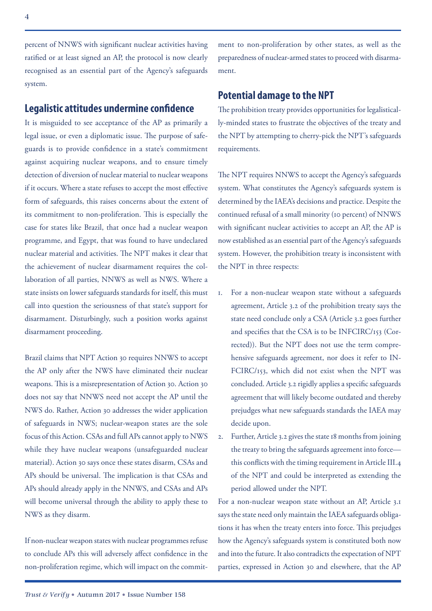percent of NNWS with significant nuclear activities having ratified or at least signed an AP, the protocol is now clearly recognised as an essential part of the Agency's safeguards system.

#### **Legalistic attitudes undermine confidence**

It is misguided to see acceptance of the AP as primarily a legal issue, or even a diplomatic issue. The purpose of safeguards is to provide confidence in a state's commitment against acquiring nuclear weapons, and to ensure timely detection of diversion of nuclear material to nuclear weapons if it occurs. Where a state refuses to accept the most effective form of safeguards, this raises concerns about the extent of its commitment to non-proliferation. This is especially the case for states like Brazil, that once had a nuclear weapon programme, and Egypt, that was found to have undeclared nuclear material and activities. The NPT makes it clear that the achievement of nuclear disarmament requires the collaboration of all parties, NNWS as well as NWS. Where a state insists on lower safeguards standards for itself, this must call into question the seriousness of that state's support for disarmament. Disturbingly, such a position works against disarmament proceeding.

Brazil claims that NPT Action 30 requires NNWS to accept the AP only after the NWS have eliminated their nuclear weapons. This is a misrepresentation of Action 30. Action 30 does not say that NNWS need not accept the AP until the NWS do. Rather, Action 30 addresses the wider application of safeguards in NWS; nuclear-weapon states are the sole focus of this Action. CSAs and full APs cannot apply to NWS while they have nuclear weapons (unsafeguarded nuclear material). Action 30 says once these states disarm, CSAs and APs should be universal. The implication is that CSAs and APs should already apply in the NNWS, and CSAs and APs will become universal through the ability to apply these to NWS as they disarm.

If non-nuclear weapon states with nuclear programmes refuse to conclude APs this will adversely affect confidence in the non-proliferation regime, which will impact on the commitment to non-proliferation by other states, as well as the preparedness of nuclear-armed states to proceed with disarmament.

#### **Potential damage to the NPT**

The prohibition treaty provides opportunities for legalistically-minded states to frustrate the objectives of the treaty and the NPT by attempting to cherry-pick the NPT's safeguards requirements.

The NPT requires NNWS to accept the Agency's safeguards system. What constitutes the Agency's safeguards system is determined by the IAEA's decisions and practice. Despite the continued refusal of a small minority (10 percent) of NNWS with significant nuclear activities to accept an AP, the AP is now established as an essential part of the Agency's safeguards system. However, the prohibition treaty is inconsistent with the NPT in three respects:

- 1. For a non-nuclear weapon state without a safeguards agreement, Article 3.2 of the prohibition treaty says the state need conclude only a CSA (Article 3.2 goes further and specifies that the CSA is to be INFCIRC/153 (Corrected)). But the NPT does not use the term comprehensive safeguards agreement, nor does it refer to IN-FCIRC/153, which did not exist when the NPT was concluded. Article 3.2 rigidly applies a specific safeguards agreement that will likely become outdated and thereby prejudges what new safeguards standards the IAEA may decide upon.
- 2. Further, Article 3.2 gives the state 18 months from joining the treaty to bring the safeguards agreement into force this conflicts with the timing requirement in Article III.4 of the NPT and could be interpreted as extending the period allowed under the NPT.

For a non-nuclear weapon state without an AP, Article 3.1 says the state need only maintain the IAEA safeguards obligations it has when the treaty enters into force. This prejudges how the Agency's safeguards system is constituted both now and into the future. It also contradicts the expectation of NPT parties, expressed in Action 30 and elsewhere, that the AP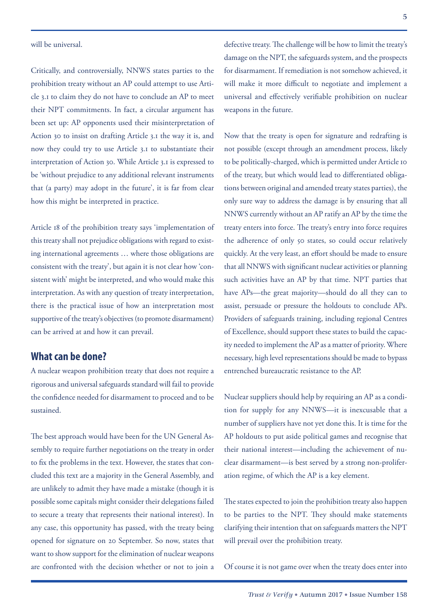Critically, and controversially, NNWS states parties to the prohibition treaty without an AP could attempt to use Article 3.1 to claim they do not have to conclude an AP to meet their NPT commitments. In fact, a circular argument has been set up: AP opponents used their misinterpretation of Action 30 to insist on drafting Article 3.1 the way it is, and now they could try to use Article 3.1 to substantiate their interpretation of Action 30. While Article 3.1 is expressed to be 'without prejudice to any additional relevant instruments that (a party) may adopt in the future', it is far from clear how this might be interpreted in practice.

Article 18 of the prohibition treaty says 'implementation of this treaty shall not prejudice obligations with regard to existing international agreements … where those obligations are consistent with the treaty', but again it is not clear how 'consistent with' might be interpreted, and who would make this interpretation. As with any question of treaty interpretation, there is the practical issue of how an interpretation most supportive of the treaty's objectives (to promote disarmament) can be arrived at and how it can prevail.

#### **What can be done?**

A nuclear weapon prohibition treaty that does not require a rigorous and universal safeguards standard will fail to provide the confidence needed for disarmament to proceed and to be sustained.

The best approach would have been for the UN General Assembly to require further negotiations on the treaty in order to fix the problems in the text. However, the states that concluded this text are a majority in the General Assembly, and are unlikely to admit they have made a mistake (though it is possible some capitals might consider their delegations failed to secure a treaty that represents their national interest). In any case, this opportunity has passed, with the treaty being opened for signature on 20 September. So now, states that want to show support for the elimination of nuclear weapons are confronted with the decision whether or not to join a

defective treaty. The challenge will be how to limit the treaty's damage on the NPT, the safeguards system, and the prospects for disarmament. If remediation is not somehow achieved, it will make it more difficult to negotiate and implement a universal and effectively verifiable prohibition on nuclear weapons in the future.

Now that the treaty is open for signature and redrafting is not possible (except through an amendment process, likely to be politically-charged, which is permitted under Article 10 of the treaty, but which would lead to differentiated obligations between original and amended treaty states parties), the only sure way to address the damage is by ensuring that all NNWS currently without an AP ratify an AP by the time the treaty enters into force. The treaty's entry into force requires the adherence of only 50 states, so could occur relatively quickly. At the very least, an effort should be made to ensure that all NNWS with significant nuclear activities or planning such activities have an AP by that time. NPT parties that have APs—the great majority—should do all they can to assist, persuade or pressure the holdouts to conclude APs. Providers of safeguards training, including regional Centres of Excellence, should support these states to build the capacity needed to implement the AP as a matter of priority. Where necessary, high level representations should be made to bypass entrenched bureaucratic resistance to the AP.

Nuclear suppliers should help by requiring an AP as a condition for supply for any NNWS—it is inexcusable that a number of suppliers have not yet done this. It is time for the AP holdouts to put aside political games and recognise that their national interest—including the achievement of nuclear disarmament—is best served by a strong non-proliferation regime, of which the AP is a key element.

The states expected to join the prohibition treaty also happen to be parties to the NPT. They should make statements clarifying their intention that on safeguards matters the NPT will prevail over the prohibition treaty.

Of course it is not game over when the treaty does enter into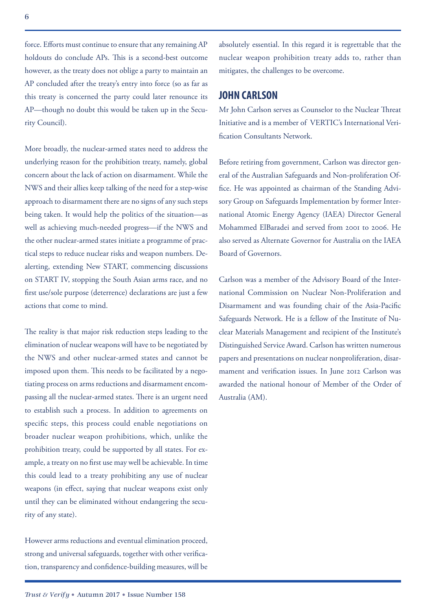force. Efforts must continue to ensure that any remaining AP holdouts do conclude APs. This is a second-best outcome however, as the treaty does not oblige a party to maintain an AP concluded after the treaty's entry into force (so as far as this treaty is concerned the party could later renounce its AP—though no doubt this would be taken up in the Security Council).

More broadly, the nuclear-armed states need to address the underlying reason for the prohibition treaty, namely, global concern about the lack of action on disarmament. While the NWS and their allies keep talking of the need for a step-wise approach to disarmament there are no signs of any such steps being taken. It would help the politics of the situation—as well as achieving much-needed progress—if the NWS and the other nuclear-armed states initiate a programme of practical steps to reduce nuclear risks and weapon numbers. Dealerting, extending New START, commencing discussions on START IV, stopping the South Asian arms race, and no first use/sole purpose (deterrence) declarations are just a few actions that come to mind.

The reality is that major risk reduction steps leading to the elimination of nuclear weapons will have to be negotiated by the NWS and other nuclear-armed states and cannot be imposed upon them. This needs to be facilitated by a negotiating process on arms reductions and disarmament encompassing all the nuclear-armed states. There is an urgent need to establish such a process. In addition to agreements on specific steps, this process could enable negotiations on broader nuclear weapon prohibitions, which, unlike the prohibition treaty, could be supported by all states. For example, a treaty on no first use may well be achievable. In time this could lead to a treaty prohibiting any use of nuclear weapons (in effect, saying that nuclear weapons exist only until they can be eliminated without endangering the security of any state).

However arms reductions and eventual elimination proceed, strong and universal safeguards, together with other verification, transparency and confidence-building measures, will be absolutely essential. In this regard it is regrettable that the nuclear weapon prohibition treaty adds to, rather than mitigates, the challenges to be overcome.

#### **JOHN CARLSON**

Mr John Carlson serves as Counselor to the Nuclear Threat Initiative and is a member of VERTIC's International Verification Consultants Network.

Before retiring from government, Carlson was director general of the Australian Safeguards and Non-proliferation Office. He was appointed as chairman of the Standing Advisory Group on Safeguards Implementation by former International Atomic Energy Agency (IAEA) Director General Mohammed ElBaradei and served from 2001 to 2006. He also served as Alternate Governor for Australia on the IAEA Board of Governors.

Carlson was a member of the Advisory Board of the International Commission on Nuclear Non-Proliferation and Disarmament and was founding chair of the Asia-Pacific Safeguards Network. He is a fellow of the Institute of Nuclear Materials Management and recipient of the Institute's Distinguished Service Award. Carlson has written numerous papers and presentations on nuclear nonproliferation, disarmament and verification issues. In June 2012 Carlson was awarded the national honour of Member of the Order of Australia (AM).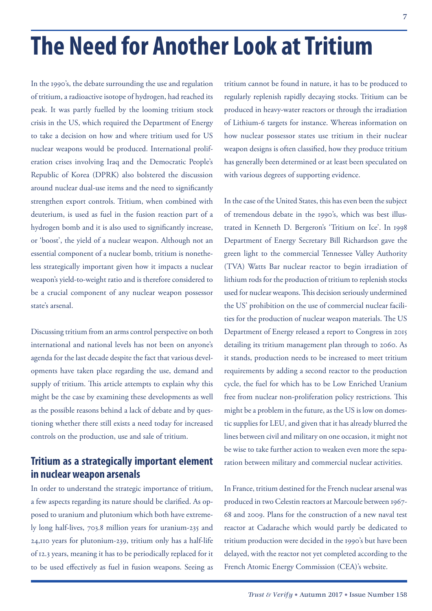In the 1990's, the debate surrounding the use and regulation of tritium, a radioactive isotope of hydrogen, had reached its peak. It was partly fuelled by the looming tritium stock crisis in the US, which required the Department of Energy to take a decision on how and where tritium used for US nuclear weapons would be produced. International proliferation crises involving Iraq and the Democratic People's Republic of Korea (DPRK) also bolstered the discussion around nuclear dual-use items and the need to significantly strengthen export controls. Tritium, when combined with deuterium, is used as fuel in the fusion reaction part of a hydrogen bomb and it is also used to significantly increase, or 'boost', the yield of a nuclear weapon. Although not an essential component of a nuclear bomb, tritium is nonetheless strategically important given how it impacts a nuclear weapon's yield-to-weight ratio and is therefore considered to be a crucial component of any nuclear weapon possessor state's arsenal.

Discussing tritium from an arms control perspective on both international and national levels has not been on anyone's agenda for the last decade despite the fact that various developments have taken place regarding the use, demand and supply of tritium. This article attempts to explain why this might be the case by examining these developments as well as the possible reasons behind a lack of debate and by questioning whether there still exists a need today for increased controls on the production, use and sale of tritium.

# **Tritium as a strategically important element in nuclear weapon arsenals**

In order to understand the strategic importance of tritium, a few aspects regarding its nature should be clarified. As opposed to uranium and plutonium which both have extremely long half-lives, 703.8 million years for uranium-235 and 24,110 years for plutonium-239, tritium only has a half-life of 12.3 years, meaning it has to be periodically replaced for it to be used effectively as fuel in fusion weapons. Seeing as

tritium cannot be found in nature, it has to be produced to regularly replenish rapidly decaying stocks. Tritium can be produced in heavy-water reactors or through the irradiation of Lithium-6 targets for instance. Whereas information on how nuclear possessor states use tritium in their nuclear weapon designs is often classified, how they produce tritium has generally been determined or at least been speculated on with various degrees of supporting evidence.

In the case of the United States, this has even been the subject of tremendous debate in the 1990's, which was best illustrated in Kenneth D. Bergeron's 'Tritium on Ice'. In 1998 Department of Energy Secretary Bill Richardson gave the green light to the commercial Tennessee Valley Authority (TVA) Watts Bar nuclear reactor to begin irradiation of lithium rods for the production of tritium to replenish stocks used for nuclear weapons. This decision seriously undermined the US' prohibition on the use of commercial nuclear facilities for the production of nuclear weapon materials. The US Department of Energy released a report to Congress in 2015 detailing its tritium management plan through to 2060. As it stands, production needs to be increased to meet tritium requirements by adding a second reactor to the production cycle, the fuel for which has to be Low Enriched Uranium free from nuclear non-proliferation policy restrictions. This might be a problem in the future, as the US is low on domestic supplies for LEU, and given that it has already blurred the lines between civil and military on one occasion, it might not be wise to take further action to weaken even more the separation between military and commercial nuclear activities.

In France, tritium destined for the French nuclear arsenal was produced in two Celestin reactors at Marcoule between 1967- 68 and 2009. Plans for the construction of a new naval test reactor at Cadarache which would partly be dedicated to tritium production were decided in the 1990's but have been delayed, with the reactor not yet completed according to the French Atomic Energy Commission (CEA)'s website.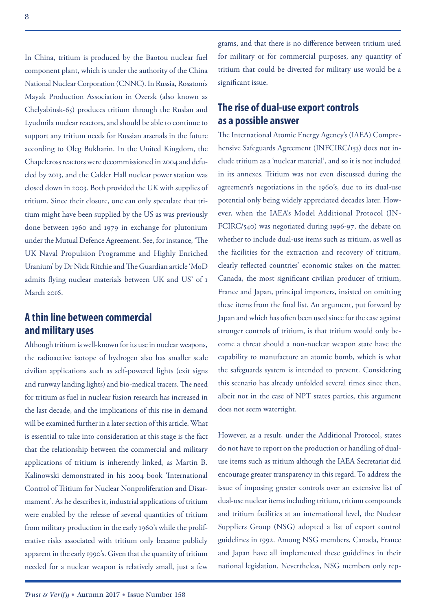In China, tritium is produced by the Baotou nuclear fuel component plant, which is under the authority of the China National Nuclear Corporation (CNNC). In Russia, Rosatom's Mayak Production Association in Ozersk (also known as Chelyabinsk-65) produces tritium through the Ruslan and Lyudmila nuclear reactors, and should be able to continue to support any tritium needs for Russian arsenals in the future according to Oleg Bukharin. In the United Kingdom, the Chapelcross reactors were decommissioned in 2004 and defueled by 2013, and the Calder Hall nuclear power station was closed down in 2003. Both provided the UK with supplies of tritium. Since their closure, one can only speculate that tritium might have been supplied by the US as was previously done between 1960 and 1979 in exchange for plutonium under the Mutual Defence Agreement. See, for instance, 'The UK Naval Propulsion Programme and Highly Enriched Uranium' by Dr Nick Ritchie and The Guardian article 'MoD admits flying nuclear materials between UK and US' of 1 March 2016

## **A thin line between commercial and military uses**

Although tritium is well-known for its use in nuclear weapons, the radioactive isotope of hydrogen also has smaller scale civilian applications such as self-powered lights (exit signs and runway landing lights) and bio-medical tracers. The need for tritium as fuel in nuclear fusion research has increased in the last decade, and the implications of this rise in demand will be examined further in a later section of this article. What is essential to take into consideration at this stage is the fact that the relationship between the commercial and military applications of tritium is inherently linked, as Martin B. Kalinowski demonstrated in his 2004 book 'International Control of Tritium for Nuclear Nonproliferation and Disarmament'. As he describes it, industrial applications of tritium were enabled by the release of several quantities of tritium from military production in the early 1960's while the proliferative risks associated with tritium only became publicly apparent in the early 1990's. Given that the quantity of tritium needed for a nuclear weapon is relatively small, just a few

grams, and that there is no difference between tritium used for military or for commercial purposes, any quantity of tritium that could be diverted for military use would be a significant issue.

## **The rise of dual-use export controls as a possible answer**

The International Atomic Energy Agency's (IAEA) Comprehensive Safeguards Agreement (INFCIRC/153) does not include tritium as a 'nuclear material', and so it is not included in its annexes. Tritium was not even discussed during the agreement's negotiations in the 1960's, due to its dual-use potential only being widely appreciated decades later. However, when the IAEA's Model Additional Protocol (IN-FCIRC/540) was negotiated during 1996-97, the debate on whether to include dual-use items such as tritium, as well as the facilities for the extraction and recovery of tritium, clearly reflected countries' economic stakes on the matter. Canada, the most significant civilian producer of tritium, France and Japan, principal importers, insisted on omitting these items from the final list. An argument, put forward by Japan and which has often been used since for the case against stronger controls of tritium, is that tritium would only become a threat should a non-nuclear weapon state have the capability to manufacture an atomic bomb, which is what the safeguards system is intended to prevent. Considering this scenario has already unfolded several times since then, albeit not in the case of NPT states parties, this argument does not seem watertight.

However, as a result, under the Additional Protocol, states do not have to report on the production or handling of dualuse items such as tritium although the IAEA Secretariat did encourage greater transparency in this regard. To address the issue of imposing greater controls over an extensive list of dual-use nuclear items including tritium, tritium compounds and tritium facilities at an international level, the Nuclear Suppliers Group (NSG) adopted a list of export control guidelines in 1992. Among NSG members, Canada, France and Japan have all implemented these guidelines in their national legislation. Nevertheless, NSG members only rep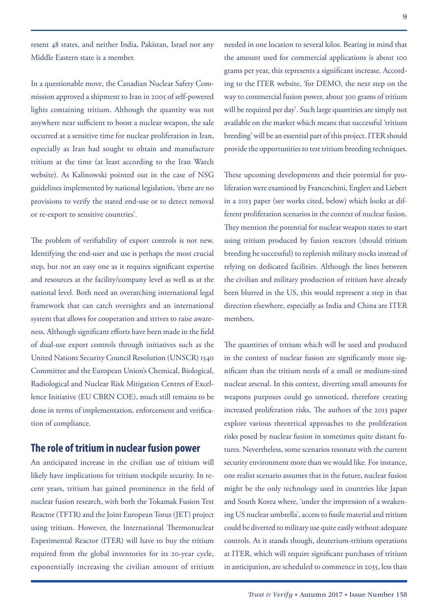resent 48 states, and neither India, Pakistan, Israel nor any Middle Eastern state is a member.

In a questionable move, the Canadian Nuclear Safety Commission approved a shipment to Iran in 2005 of self-powered lights containing tritium. Although the quantity was not anywhere near sufficient to boost a nuclear weapon, the sale occurred at a sensitive time for nuclear proliferation in Iran, especially as Iran had sought to obtain and manufacture tritium at the time (at least according to the Iran Watch website). As Kalinowski pointed out in the case of NSG guidelines implemented by national legislation, 'there are no provisions to verify the stated end-use or to detect removal or re-export to sensitive countries'.

The problem of verifiability of export controls is not new. Identifying the end-user and use is perhaps the most crucial step, but not an easy one as it requires significant expertise and resources at the facility/company level as well as at the national level. Both need an overarching international legal framework that can catch oversights and an international system that allows for cooperation and strives to raise awareness. Although significant efforts have been made in the field of dual-use export controls through initiatives such as the United Nations Security Council Resolution (UNSCR) 1540 Committee and the European Union's Chemical, Biological, Radiological and Nuclear Risk Mitigation Centres of Excellence Initiative (EU CBRN COE), much still remains to be done in terms of implementation, enforcement and verification of compliance.

#### **The role of tritium in nuclear fusion power**

An anticipated increase in the civilian use of tritium will likely have implications for tritium stockpile security. In recent years, tritium has gained prominence in the field of nuclear fusion research, with both the Tokamak Fusion Test Reactor (TFTR) and the Joint European Torus (JET) project using tritium. However, the International Thermonuclear Experimental Reactor (ITER) will have to buy the tritium required from the global inventories for its 20-year cycle, exponentially increasing the civilian amount of tritium

needed in one location to several kilos. Bearing in mind that the amount used for commercial applications is about 100 grams per year, this represents a significant increase. According to the ITER website, 'for DEMO, the next step on the way to commercial fusion power, about 300 grams of tritium will be required per day'. Such large quantities are simply not available on the market which means that successful 'tritium breeding' will be an essential part of this project. ITER should provide the opportunities to test tritium breeding techniques.

These upcoming developments and their potential for proliferation were examined by Franceschini, Englert and Liebert in a 2013 paper (see works cited, below) which looks at different proliferation scenarios in the context of nuclear fusion. They mention the potential for nuclear weapon states to start using tritium produced by fusion reactors (should tritium breeding be successful) to replenish military stocks instead of relying on dedicated facilities. Although the lines between the civilian and military production of tritium have already been blurred in the US, this would represent a step in that direction elsewhere, especially as India and China are ITER members.

The quantities of tritium which will be used and produced in the context of nuclear fusion are significantly more significant than the tritium needs of a small or medium-sized nuclear arsenal. In this context, diverting small amounts for weapons purposes could go unnoticed, therefore creating increased proliferation risks. The authors of the 2013 paper explore various theoretical approaches to the proliferation risks posed by nuclear fusion in sometimes quite distant futures. Nevertheless, some scenarios resonate with the current security environment more than we would like. For instance, one realist scenario assumes that in the future, nuclear fusion might be the only technology used in countries like Japan and South Korea where, 'under the impression of a weakening US nuclear umbrella', access to fissile material and tritium could be diverted to military use quite easily without adequate controls. As it stands though, deuterium-tritium operations at ITER, which will require significant purchases of tritium in anticipation, are scheduled to commence in 2035, less than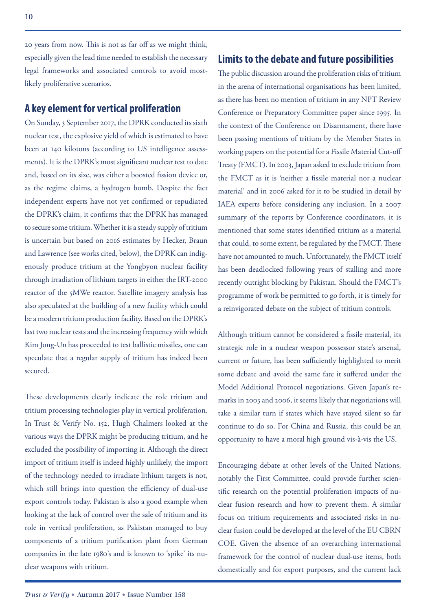20 years from now. This is not as far off as we might think, especially given the lead time needed to establish the necessary legal frameworks and associated controls to avoid mostlikely proliferative scenarios.

#### **A key element for vertical proliferation**

On Sunday, 3 September 2017, the DPRK conducted its sixth nuclear test, the explosive yield of which is estimated to have been at 140 kilotons (according to US intelligence assessments). It is the DPRK's most significant nuclear test to date and, based on its size, was either a boosted fission device or, as the regime claims, a hydrogen bomb. Despite the fact independent experts have not yet confirmed or repudiated the DPRK's claim, it confirms that the DPRK has managed to secure some tritium. Whether it is a steady supply of tritium is uncertain but based on 2016 estimates by Hecker, Braun and Lawrence (see works cited, below), the DPRK can indigenously produce tritium at the Yongbyon nuclear facility through irradiation of lithium targets in either the IRT-2000 reactor of the 5MWe reactor. Satellite imagery analysis has also speculated at the building of a new facility which could be a modern tritium production facility. Based on the DPRK's last two nuclear tests and the increasing frequency with which Kim Jong-Un has proceeded to test ballistic missiles, one can speculate that a regular supply of tritium has indeed been secured.

These developments clearly indicate the role tritium and tritium processing technologies play in vertical proliferation. In Trust & Verify No. 152, Hugh Chalmers looked at the various ways the DPRK might be producing tritium, and he excluded the possibility of importing it. Although the direct import of tritium itself is indeed highly unlikely, the import of the technology needed to irradiate lithium targets is not, which still brings into question the efficiency of dual-use export controls today. Pakistan is also a good example when looking at the lack of control over the sale of tritium and its role in vertical proliferation, as Pakistan managed to buy components of a tritium purification plant from German companies in the late 1980's and is known to 'spike' its nuclear weapons with tritium.

#### **Limits to the debate and future possibilities**

The public discussion around the proliferation risks of tritium in the arena of international organisations has been limited, as there has been no mention of tritium in any NPT Review Conference or Preparatory Committee paper since 1995. In the context of the Conference on Disarmament, there have been passing mentions of tritium by the Member States in working papers on the potential for a Fissile Material Cut-off Treaty (FMCT). In 2003, Japan asked to exclude tritium from the FMCT as it is 'neither a fissile material nor a nuclear material' and in 2006 asked for it to be studied in detail by IAEA experts before considering any inclusion. In a 2007 summary of the reports by Conference coordinators, it is mentioned that some states identified tritium as a material that could, to some extent, be regulated by the FMCT. These have not amounted to much. Unfortunately, the FMCT itself has been deadlocked following years of stalling and more recently outright blocking by Pakistan. Should the FMCT's programme of work be permitted to go forth, it is timely for a reinvigorated debate on the subject of tritium controls.

Although tritium cannot be considered a fissile material, its strategic role in a nuclear weapon possessor state's arsenal, current or future, has been sufficiently highlighted to merit some debate and avoid the same fate it suffered under the Model Additional Protocol negotiations. Given Japan's remarks in 2003 and 2006, it seems likely that negotiations will take a similar turn if states which have stayed silent so far continue to do so. For China and Russia, this could be an opportunity to have a moral high ground vis-à-vis the US.

Encouraging debate at other levels of the United Nations, notably the First Committee, could provide further scientific research on the potential proliferation impacts of nuclear fusion research and how to prevent them. A similar focus on tritium requirements and associated risks in nuclear fusion could be developed at the level of the EU CBRN COE. Given the absence of an overarching international framework for the control of nuclear dual-use items, both domestically and for export purposes, and the current lack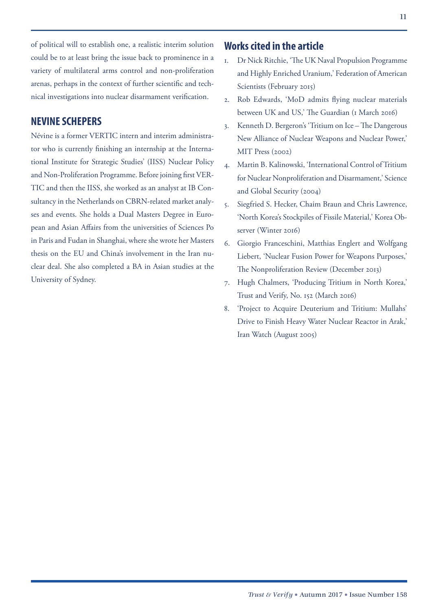of political will to establish one, a realistic interim solution could be to at least bring the issue back to prominence in a variety of multilateral arms control and non-proliferation arenas, perhaps in the context of further scientific and technical investigations into nuclear disarmament verification.

#### **NEVINE SCHEPERS**

Névine is a former VERTIC intern and interim administrator who is currently finishing an internship at the International Institute for Strategic Studies' (IISS) Nuclear Policy and Non-Proliferation Programme. Before joining first VER-TIC and then the IISS, she worked as an analyst at IB Consultancy in the Netherlands on CBRN-related market analyses and events. She holds a Dual Masters Degree in European and Asian Affairs from the universities of Sciences Po in Paris and Fudan in Shanghai, where she wrote her Masters thesis on the EU and China's involvement in the Iran nuclear deal. She also completed a BA in Asian studies at the University of Sydney.

#### **Works cited in the article**

- 1. Dr Nick Ritchie, 'The UK Naval Propulsion Programme and Highly Enriched Uranium,' Federation of American Scientists (February 2015)
- 2. Rob Edwards, 'MoD admits flying nuclear materials between UK and US,' The Guardian (1 March 2016)
- 3. Kenneth D. Bergeron's 'Tritium on Ice The Dangerous New Alliance of Nuclear Weapons and Nuclear Power,' MIT Press (2002)
- 4. Martin B. Kalinowski, 'International Control of Tritium for Nuclear Nonproliferation and Disarmament,' Science and Global Security (2004)
- 5. Siegfried S. Hecker, Chaim Braun and Chris Lawrence, 'North Korea's Stockpiles of Fissile Material,' Korea Observer (Winter 2016)
- 6. Giorgio Franceschini, Matthias Englert and Wolfgang Liebert, 'Nuclear Fusion Power for Weapons Purposes,' The Nonproliferation Review (December 2013)
- 7. Hugh Chalmers, 'Producing Tritium in North Korea,' Trust and Verify, No. 152 (March 2016)
- 8. 'Project to Acquire Deuterium and Tritium: Mullahs' Drive to Finish Heavy Water Nuclear Reactor in Arak,' Iran Watch (August 2005)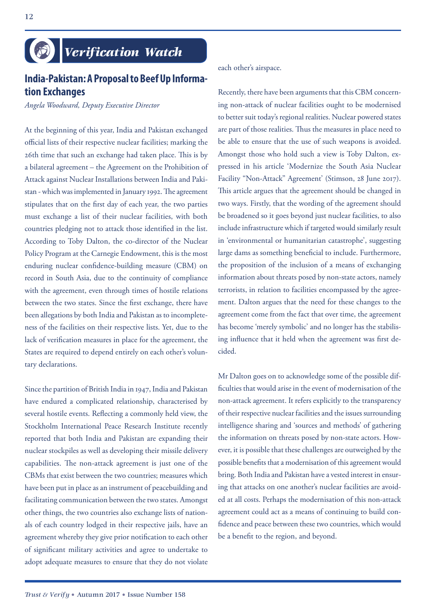# *Verification Watch*

## **India-Pakistan: A Proposal to Beef Up Information Exchanges**

*Angela Woodward, Deputy Executive Director*

At the beginning of this year, India and Pakistan exchanged official lists of their respective nuclear facilities; marking the 26th time that such an exchange had taken place. This is by a bilateral agreement – the Agreement on the Prohibition of Attack against Nuclear Installations between India and Pakistan - which was implemented in January 1992. The agreement stipulates that on the first day of each year, the two parties must exchange a list of their nuclear facilities, with both countries pledging not to attack those identified in the list. According to Toby Dalton, the co-director of the Nuclear Policy Program at the Carnegie Endowment, this is the most enduring nuclear confidence-building measure (CBM) on record in South Asia, due to the continuity of compliance with the agreement, even through times of hostile relations between the two states. Since the first exchange, there have been allegations by both India and Pakistan as to incompleteness of the facilities on their respective lists. Yet, due to the lack of verification measures in place for the agreement, the States are required to depend entirely on each other's voluntary declarations.

Since the partition of British India in 1947, India and Pakistan have endured a complicated relationship, characterised by several hostile events. Reflecting a commonly held view, the Stockholm International Peace Research Institute recently reported that both India and Pakistan are expanding their nuclear stockpiles as well as developing their missile delivery capabilities. The non-attack agreement is just one of the CBMs that exist between the two countries; measures which have been put in place as an instrument of peacebuilding and facilitating communication between the two states. Amongst other things, the two countries also exchange lists of nationals of each country lodged in their respective jails, have an agreement whereby they give prior notification to each other of significant military activities and agree to undertake to adopt adequate measures to ensure that they do not violate

each other's airspace.

Recently, there have been arguments that this CBM concerning non-attack of nuclear facilities ought to be modernised to better suit today's regional realities. Nuclear powered states are part of those realities. Thus the measures in place need to be able to ensure that the use of such weapons is avoided. Amongst those who hold such a view is Toby Dalton, expressed in his article 'Modernize the South Asia Nuclear Facility "Non-Attack" Agreement' (Stimson, 28 June 2017). This article argues that the agreement should be changed in two ways. Firstly, that the wording of the agreement should be broadened so it goes beyond just nuclear facilities, to also include infrastructure which if targeted would similarly result in 'environmental or humanitarian catastrophe', suggesting large dams as something beneficial to include. Furthermore, the proposition of the inclusion of a means of exchanging information about threats posed by non-state actors, namely terrorists, in relation to facilities encompassed by the agreement. Dalton argues that the need for these changes to the agreement come from the fact that over time, the agreement has become 'merely symbolic' and no longer has the stabilising influence that it held when the agreement was first decided.

Mr Dalton goes on to acknowledge some of the possible difficulties that would arise in the event of modernisation of the non-attack agreement. It refers explicitly to the transparency of their respective nuclear facilities and the issues surrounding intelligence sharing and 'sources and methods' of gathering the information on threats posed by non-state actors. However, it is possible that these challenges are outweighed by the possible benefits that a modernisation of this agreement would bring. Both India and Pakistan have a vested interest in ensuring that attacks on one another's nuclear facilities are avoided at all costs. Perhaps the modernisation of this non-attack agreement could act as a means of continuing to build confidence and peace between these two countries, which would be a benefit to the region, and beyond.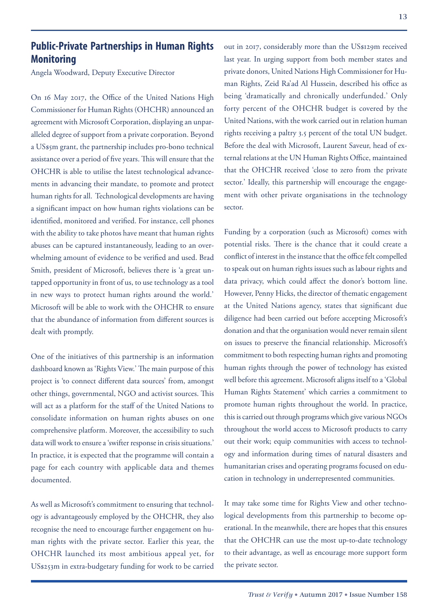## **Public-Private Partnerships in Human Rights Monitoring**

Angela Woodward, Deputy Executive Director

On 16 May 2017, the Office of the United Nations High Commissioner for Human Rights (OHCHR) announced an agreement with Microsoft Corporation, displaying an unparalleled degree of support from a private corporation. Beyond a US\$5m grant, the partnership includes pro-bono technical assistance over a period of five years. This will ensure that the OHCHR is able to utilise the latest technological advancements in advancing their mandate, to promote and protect human rights for all. Technological developments are having a significant impact on how human rights violations can be identified, monitored and verified. For instance, cell phones with the ability to take photos have meant that human rights abuses can be captured instantaneously, leading to an overwhelming amount of evidence to be verified and used. Brad Smith, president of Microsoft, believes there is 'a great untapped opportunity in front of us, to use technology as a tool in new ways to protect human rights around the world.' Microsoft will be able to work with the OHCHR to ensure that the abundance of information from different sources is dealt with promptly.

One of the initiatives of this partnership is an information dashboard known as 'Rights View.' The main purpose of this project is 'to connect different data sources' from, amongst other things, governmental, NGO and activist sources. This will act as a platform for the staff of the United Nations to consolidate information on human rights abuses on one comprehensive platform. Moreover, the accessibility to such data will work to ensure a 'swifter response in crisis situations.' In practice, it is expected that the programme will contain a page for each country with applicable data and themes documented.

As well as Microsoft's commitment to ensuring that technology is advantageously employed by the OHCHR, they also recognise the need to encourage further engagement on human rights with the private sector. Earlier this year, the OHCHR launched its most ambitious appeal yet, for US\$253m in extra-budgetary funding for work to be carried

out in 2017, considerably more than the US\$129m received last year. In urging support from both member states and private donors, United Nations High Commissioner for Human Rights, Zeid Ra'ad Al Hussein, described his office as being 'dramatically and chronically underfunded.' Only forty percent of the OHCHR budget is covered by the United Nations, with the work carried out in relation human rights receiving a paltry 3.5 percent of the total UN budget. Before the deal with Microsoft, Laurent Saveur, head of external relations at the UN Human Rights Office, maintained that the OHCHR received 'close to zero from the private sector.' Ideally, this partnership will encourage the engagement with other private organisations in the technology sector.

Funding by a corporation (such as Microsoft) comes with potential risks. There is the chance that it could create a conflict of interest in the instance that the office felt compelled to speak out on human rights issues such as labour rights and data privacy, which could affect the donor's bottom line. However, Penny Hicks, the director of thematic engagement at the United Nations agency, states that significant due diligence had been carried out before accepting Microsoft's donation and that the organisation would never remain silent on issues to preserve the financial relationship. Microsoft's commitment to both respecting human rights and promoting human rights through the power of technology has existed well before this agreement. Microsoft aligns itself to a 'Global Human Rights Statement' which carries a commitment to promote human rights throughout the world. In practice, this is carried out through programs which give various NGOs throughout the world access to Microsoft products to carry out their work; equip communities with access to technology and information during times of natural disasters and humanitarian crises and operating programs focused on education in technology in underrepresented communities.

It may take some time for Rights View and other technological developments from this partnership to become operational. In the meanwhile, there are hopes that this ensures that the OHCHR can use the most up-to-date technology to their advantage, as well as encourage more support form the private sector.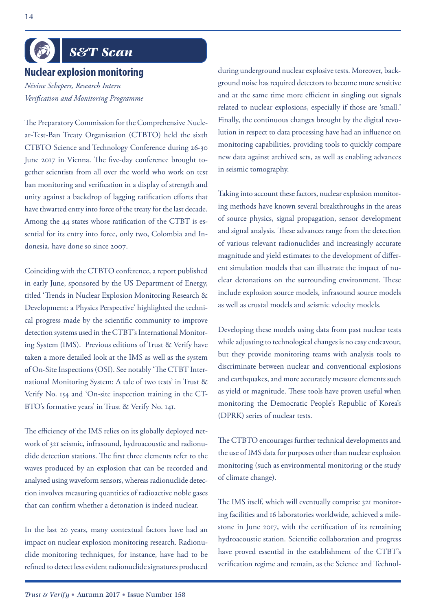# *S&T Scan*

#### **Nuclear explosion monitoring**

*Névine Schepers, Research Intern Verification and Monitoring Programme*

The Preparatory Commission for the Comprehensive Nuclear-Test-Ban Treaty Organisation (CTBTO) held the sixth CTBTO Science and Technology Conference during 26-30 June 2017 in Vienna. The five-day conference brought together scientists from all over the world who work on test ban monitoring and verification in a display of strength and unity against a backdrop of lagging ratification efforts that have thwarted entry into force of the treaty for the last decade. Among the 44 states whose ratification of the CTBT is essential for its entry into force, only two, Colombia and Indonesia, have done so since 2007.

Coinciding with the CTBTO conference, a report published in early June, sponsored by the US Department of Energy, titled 'Trends in Nuclear Explosion Monitoring Research & Development: a Physics Perspective' highlighted the technical progress made by the scientific community to improve detection systems used in the CTBT's International Monitoring System (IMS). Previous editions of Trust & Verify have taken a more detailed look at the IMS as well as the system of On-Site Inspections (OSI). See notably 'The CTBT International Monitoring System: A tale of two tests' in Trust & Verify No. 154 and 'On-site inspection training in the CT-BTO's formative years' in Trust & Verify No. 141.

The efficiency of the IMS relies on its globally deployed network of 321 seismic, infrasound, hydroacoustic and radionuclide detection stations. The first three elements refer to the waves produced by an explosion that can be recorded and analysed using waveform sensors, whereas radionuclide detection involves measuring quantities of radioactive noble gases that can confirm whether a detonation is indeed nuclear.

In the last 20 years, many contextual factors have had an impact on nuclear explosion monitoring research. Radionuclide monitoring techniques, for instance, have had to be refined to detect less evident radionuclide signatures produced during underground nuclear explosive tests. Moreover, background noise has required detectors to become more sensitive and at the same time more efficient in singling out signals related to nuclear explosions, especially if those are 'small.' Finally, the continuous changes brought by the digital revolution in respect to data processing have had an influence on monitoring capabilities, providing tools to quickly compare new data against archived sets, as well as enabling advances in seismic tomography.

Taking into account these factors, nuclear explosion monitoring methods have known several breakthroughs in the areas of source physics, signal propagation, sensor development and signal analysis. These advances range from the detection of various relevant radionuclides and increasingly accurate magnitude and yield estimates to the development of different simulation models that can illustrate the impact of nuclear detonations on the surrounding environment. These include explosion source models, infrasound source models as well as crustal models and seismic velocity models.

Developing these models using data from past nuclear tests while adjusting to technological changes is no easy endeavour, but they provide monitoring teams with analysis tools to discriminate between nuclear and conventional explosions and earthquakes, and more accurately measure elements such as yield or magnitude. These tools have proven useful when monitoring the Democratic People's Republic of Korea's (DPRK) series of nuclear tests.

The CTBTO encourages further technical developments and the use of IMS data for purposes other than nuclear explosion monitoring (such as environmental monitoring or the study of climate change).

The IMS itself, which will eventually comprise 321 monitoring facilities and 16 laboratories worldwide, achieved a milestone in June 2017, with the certification of its remaining hydroacoustic station. Scientific collaboration and progress have proved essential in the establishment of the CTBT's verification regime and remain, as the Science and Technol-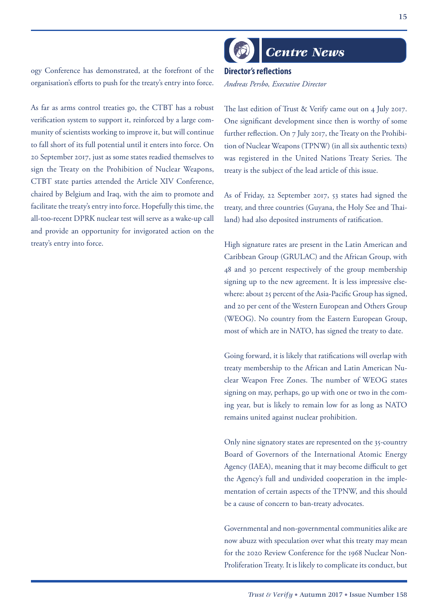#### ogy Conference has demonstrated, at the forefront of the organisation's efforts to push for the treaty's entry into force.

As far as arms control treaties go, the CTBT has a robust verification system to support it, reinforced by a large community of scientists working to improve it, but will continue to fall short of its full potential until it enters into force. On 20 September 2017, just as some states readied themselves to sign the Treaty on the Prohibition of Nuclear Weapons, CTBT state parties attended the Article XIV Conference, chaired by Belgium and Iraq, with the aim to promote and facilitate the treaty's entry into force. Hopefully this time, the all-too-recent DPRK nuclear test will serve as a wake-up call and provide an opportunity for invigorated action on the treaty's entry into force.

*Centre News*

**Director's reflections** *Andreas Persbo, Executive Director*

The last edition of Trust & Verify came out on 4 July 2017. One significant development since then is worthy of some further reflection. On 7 July 2017, the Treaty on the Prohibition of Nuclear Weapons (TPNW) (in all six authentic texts) was registered in the United Nations Treaty Series. The treaty is the subject of the lead article of this issue.

As of Friday, 22 September 2017, 53 states had signed the treaty, and three countries (Guyana, the Holy See and Thailand) had also deposited instruments of ratification.

High signature rates are present in the Latin American and Caribbean Group (GRULAC) and the African Group, with 48 and 30 percent respectively of the group membership signing up to the new agreement. It is less impressive elsewhere: about 25 percent of the Asia-Pacific Group has signed, and 20 per cent of the Western European and Others Group (WEOG). No country from the Eastern European Group, most of which are in NATO, has signed the treaty to date.

Going forward, it is likely that ratifications will overlap with treaty membership to the African and Latin American Nuclear Weapon Free Zones. The number of WEOG states signing on may, perhaps, go up with one or two in the coming year, but is likely to remain low for as long as NATO remains united against nuclear prohibition.

Only nine signatory states are represented on the 35-country Board of Governors of the International Atomic Energy Agency (IAEA), meaning that it may become difficult to get the Agency's full and undivided cooperation in the implementation of certain aspects of the TPNW, and this should be a cause of concern to ban-treaty advocates.

Governmental and non-governmental communities alike are now abuzz with speculation over what this treaty may mean for the 2020 Review Conference for the 1968 Nuclear Non-Proliferation Treaty. It is likely to complicate its conduct, but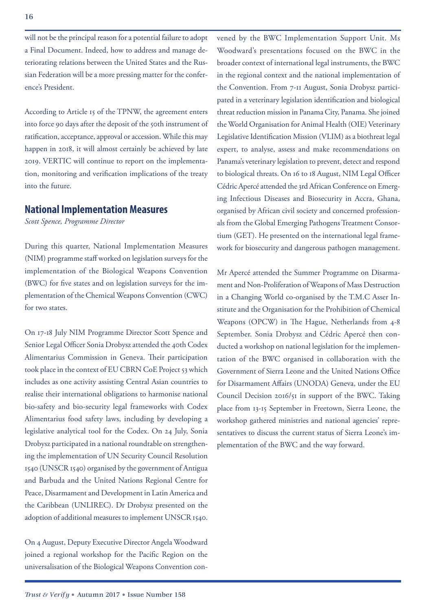will not be the principal reason for a potential failure to adopt a Final Document. Indeed, how to address and manage deteriorating relations between the United States and the Russian Federation will be a more pressing matter for the conference's President.

According to Article 15 of the TPNW, the agreement enters into force 90 days after the deposit of the 50th instrument of ratification, acceptance, approval or accession. While this may happen in 2018, it will almost certainly be achieved by late 2019. VERTIC will continue to report on the implementation, monitoring and verification implications of the treaty into the future.

#### **National Implementation Measures**

*Scott Spence, Programme Director*

During this quarter, National Implementation Measures (NIM) programme staff worked on legislation surveys for the implementation of the Biological Weapons Convention (BWC) for five states and on legislation surveys for the implementation of the Chemical Weapons Convention (CWC) for two states.

On 17-18 July NIM Programme Director Scott Spence and Senior Legal Officer Sonia Drobysz attended the 40th Codex Alimentarius Commission in Geneva. Their participation took place in the context of EU CBRN CoE Project 53 which includes as one activity assisting Central Asian countries to realise their international obligations to harmonise national bio-safety and bio-security legal frameworks with Codex Alimentarius food safety laws, including by developing a legislative analytical tool for the Codex. On 24 July, Sonia Drobysz participated in a national roundtable on strengthening the implementation of UN Security Council Resolution 1540 (UNSCR 1540) organised by the government of Antigua and Barbuda and the United Nations Regional Centre for Peace, Disarmament and Development in Latin America and the Caribbean (UNLIREC). Dr Drobysz presented on the adoption of additional measures to implement UNSCR 1540.

On 4 August, Deputy Executive Director Angela Woodward joined a regional workshop for the Pacific Region on the universalisation of the Biological Weapons Convention convened by the BWC Implementation Support Unit. Ms Woodward's presentations focused on the BWC in the broader context of international legal instruments, the BWC in the regional context and the national implementation of the Convention. From 7-11 August, Sonia Drobysz participated in a veterinary legislation identification and biological threat reduction mission in Panama City, Panama. She joined the World Organisation for Animal Health (OIE) Veterinary Legislative Identification Mission (VLIM) as a biothreat legal expert, to analyse, assess and make recommendations on Panama's veterinary legislation to prevent, detect and respond to biological threats. On 16 to 18 August, NIM Legal Officer Cédric Apercé attended the 3rd African Conference on Emerging Infectious Diseases and Biosecurity in Accra, Ghana, organised by African civil society and concerned professionals from the Global Emerging Pathogens Treatment Consortium (GET). He presented on the international legal framework for biosecurity and dangerous pathogen management.

Mr Apercé attended the Summer Programme on Disarmament and Non-Proliferation of Weapons of Mass Destruction in a Changing World co-organised by the T.M.C Asser Institute and the Organisation for the Prohibition of Chemical Weapons (OPCW) in The Hague, Netherlands from 4-8 September. Sonia Drobysz and Cédric Apercé then conducted a workshop on national legislation for the implementation of the BWC organised in collaboration with the Government of Sierra Leone and the United Nations Office for Disarmament Affairs (UNODA) Geneva, under the EU Council Decision 2016/51 in support of the BWC. Taking place from 13-15 September in Freetown, Sierra Leone, the workshop gathered ministries and national agencies' representatives to discuss the current status of Sierra Leone's implementation of the BWC and the way forward.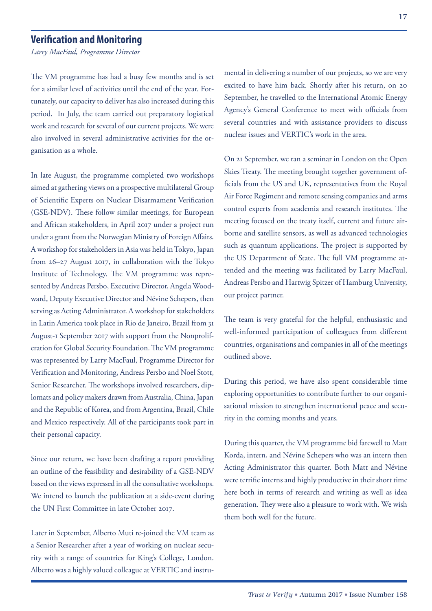#### **Verification and Monitoring**

*Larry MacFaul, Programme Director*

The VM programme has had a busy few months and is set for a similar level of activities until the end of the year. Fortunately, our capacity to deliver has also increased during this period. In July, the team carried out preparatory logistical work and research for several of our current projects. We were also involved in several administrative activities for the organisation as a whole.

In late August, the programme completed two workshops aimed at gathering views on a prospective multilateral Group of Scientific Experts on Nuclear Disarmament Verification (GSE-NDV). These follow similar meetings, for European and African stakeholders, in April 2017 under a project run under a grant from the Norwegian Ministry of Foreign Affairs. A workshop for stakeholders in Asia was held in Tokyo, Japan from 26–27 August 2017, in collaboration with the Tokyo Institute of Technology. The VM programme was represented by Andreas Persbo, Executive Director, Angela Woodward, Deputy Executive Director and Névine Schepers, then serving as Acting Administrator. A workshop for stakeholders in Latin America took place in Rio de Janeiro, Brazil from 31 August-1 September 2017 with support from the Nonproliferation for Global Security Foundation. The VM programme was represented by Larry MacFaul, Programme Director for Verification and Monitoring, Andreas Persbo and Noel Stott, Senior Researcher. The workshops involved researchers, diplomats and policy makers drawn from Australia, China, Japan and the Republic of Korea, and from Argentina, Brazil, Chile and Mexico respectively. All of the participants took part in their personal capacity.

Since our return, we have been drafting a report providing an outline of the feasibility and desirability of a GSE-NDV based on the views expressed in all the consultative workshops. We intend to launch the publication at a side-event during the UN First Committee in late October 2017.

Later in September, Alberto Muti re-joined the VM team as a Senior Researcher after a year of working on nuclear security with a range of countries for King's College, London. Alberto was a highly valued colleague at VERTIC and instru-

mental in delivering a number of our projects, so we are very excited to have him back. Shortly after his return, on 20 September, he travelled to the International Atomic Energy Agency's General Conference to meet with officials from several countries and with assistance providers to discuss nuclear issues and VERTIC's work in the area.

On 21 September, we ran a seminar in London on the Open Skies Treaty. The meeting brought together government officials from the US and UK, representatives from the Royal Air Force Regiment and remote sensing companies and arms control experts from academia and research institutes. The meeting focused on the treaty itself, current and future airborne and satellite sensors, as well as advanced technologies such as quantum applications. The project is supported by the US Department of State. The full VM programme attended and the meeting was facilitated by Larry MacFaul, Andreas Persbo and Hartwig Spitzer of Hamburg University, our project partner.

The team is very grateful for the helpful, enthusiastic and well-informed participation of colleagues from different countries, organisations and companies in all of the meetings outlined above.

During this period, we have also spent considerable time exploring opportunities to contribute further to our organisational mission to strengthen international peace and security in the coming months and years.

During this quarter, the VM programme bid farewell to Matt Korda, intern, and Névine Schepers who was an intern then Acting Administrator this quarter. Both Matt and Névine were terrific interns and highly productive in their short time here both in terms of research and writing as well as idea generation. They were also a pleasure to work with. We wish them both well for the future.